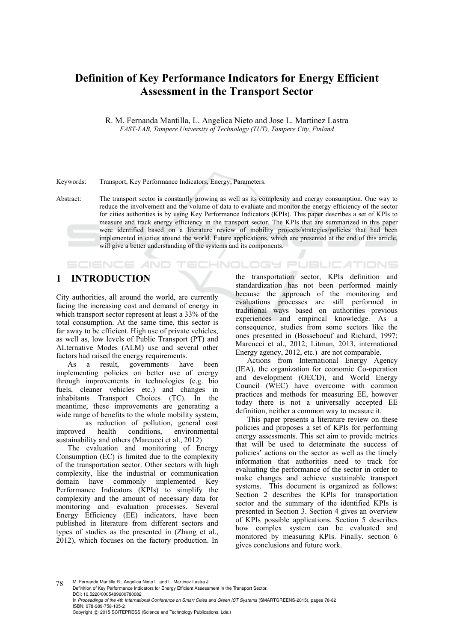# **Definition of Key Performance Indicators for Energy Efficient Assessment in the Transport Sector**

R. M. Fernanda Mantilla, L. Angelica Nieto and Jose L. Martinez Lastra *FAST-LAB, Tampere University of Technology (TUT), Tampere City, Finland* 

#### Keywords: Transport, Key Performance Indicators, Energy, Parameters.

Abstract: The transport sector is constantly growing as well as its complexity and energy consumption. One way to reduce the involvement and the volume of data to evaluate and monitor the energy efficiency of the sector for cities authorities is by using Key Performance Indicators (KPIs). This paper describes a set of KPIs to measure and track energy efficiency in the transport sector. The KPIs that are summarized in this paper were identified based on a literature review of mobility projects/strategies/policies that had been implemented in cities around the world. Future applications, which are presented at the end of this article, will give a better understanding of the systems and its components.

## **1 INTRODUCTION**

**SCIENCE AND** 

City authorities, all around the world, are currently facing the increasing cost and demand of energy in which transport sector represent at least a 33% of the total consumption. At the same time, this sector is far away to be efficient. High use of private vehicles, as well as, low levels of Public Transport (PT) and ALternative Modes (ALM) use and several other factors had raised the energy requirements.

As a result, governments have been implementing policies on better use of energy through improvements in technologies (e.g. bio fuels, cleaner vehicles etc.) and changes in inhabitants Transport Choices (TC). In the meantime, these improvements are generating a wide range of benefits to the whole mobility system,

 as reduction of pollution, general cost improved health conditions, environmental sustainability and others (Marcucci et al., 2012)

The evaluation and monitoring of Energy Consumption (EC) is limited due to the complexity of the transportation sector. Other sectors with high complexity, like the industrial or communication domain have commonly implemented Key Performance Indicators (KPIs) to simplify the complexity and the amount of necessary data for monitoring and evaluation processes. Several Energy Efficiency (EE) indicators, have been published in literature from different sectors and types of studies as the presented in (Zhang et al., 2012), which focuses on the factory production. In

the transportation sector, KPIs definition and standardization has not been performed mainly because the approach of the monitoring and evaluations processes are still performed in traditional ways based on authorities previous experiences and empirical knowledge. As a consequence, studies from some sectors like the ones presented in (Bosseboeuf and Richard, 1997; Marcucci et al., 2012; Litman, 2013, international Energy agency, 2012, etc.) are not comparable.

TECHNOLOGY PUBLIC ATIONS

Actions from International Energy Agency (IEA), the organization for economic Co-operation and development (OECD), and World Energy Council (WEC) have overcome with common practices and methods for measuring EE, however today there is not a universally accepted EE definition, neither a common way to measure it.

This paper presents a literature review on these policies and proposes a set of KPIs for performing energy assessments. This set aim to provide metrics that will be used to determinate the success of policies' actions on the sector as well as the timely information that authorities need to track for evaluating the performance of the sector in order to make changes and achieve sustainable transport systems. This document is organized as follows: Section 2 describes the KPIs for transportation sector and the summary of the identified KPIs is presented in Section 3. Section 4 gives an overview of KPIs possible applications. Section 5 describes how complex system can be evaluated and monitored by measuring KPIs. Finally, section 6 gives conclusions and future work.

78 M. Fernanda Mantilla R., Angelica Nieto L. and L. Martinez Lastra J.. Definition of Key Performance Indicators for Energy Efficient Assessment in the Transport Sector. DOI: 10.5220/0005489600780082 In *Proceedings of the 4th International Conference on Smart Cities and Green ICT Systems* (SMARTGREENS-2015), pages 78-82 ISBN: 978-989-758-105-2 Copyright © 2015 SCITEPRESS (Science and Technology Publications, Lda.)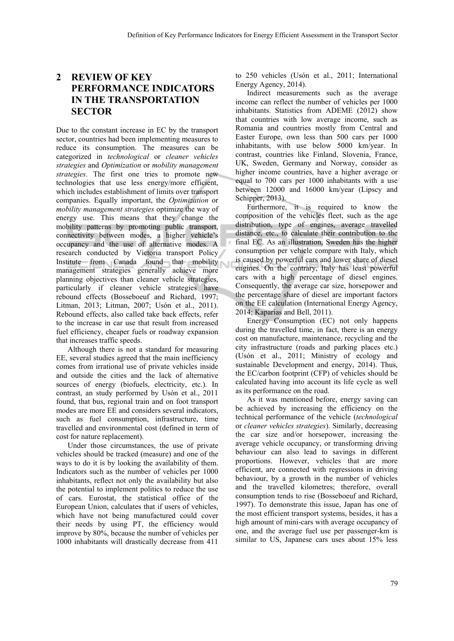## **2 REVIEW OF KEY PERFORMANCE INDICATORS IN THE TRANSPORTATION SECTOR**

Due to the constant increase in EC by the transport sector, countries had been implementing measures to reduce its consumption. The measures can be categorized in *technological* or *cleaner vehicles strategies* and *Optimization* or *mobility management strategies*. The first one tries to promote new technologies that use less energy/more efficient, which includes establishment of limits over transport companies. Equally important, the *Optimization* or *mobility management strategies* optimize the way of energy use. This means that they change the mobility patterns by promoting public transport, connectivity between modes, a higher vehicle's occupancy and the use of alternative modes. A research conducted by Victoria transport Policy Institute from Canada found that mobility management strategies generally achieve more planning objectives than cleaner vehicle strategies, particularly if cleaner vehicle strategies have rebound effects (Bosseboeuf and Richard, 1997; Litman, 2013; Litman, 2007; Usón et al., 2011). Rebound effects, also called take back effects, refer to the increase in car use that result from increased fuel efficiency, cheaper fuels or roadway expansion that increases traffic speeds.

Although there is not a standard for measuring EE, several studies agreed that the main inefficiency comes from irrational use of private vehicles inside and outside the cities and the lack of alternative sources of energy (biofuels, electricity, etc.). In contrast, an study performed by Usón et al., 2011 found, that bus, regional train and on foot transport modes are more EE and considers several indicators, such as fuel consumption, infrastructure, time travelled and environmental cost (defined in term of cost for nature replacement).

Under those circumstances, the use of private vehicles should be tracked (measure) and one of the ways to do it is by looking the availability of them. Indicators such as the number of vehicles per 1000 inhabitants, reflect not only the availability but also the potential to implement politics to reduce the use of cars. Eurostat, the statistical office of the European Union, calculates that if users of vehicles, which have not being manufactured could cover their needs by using PT, the efficiency would improve by 80%, because the number of vehicles per 1000 inhabitants will drastically decrease from 411

to 250 vehicles (Usón et al., 2011; International Energy Agency, 2014).

Indirect measurements such as the average income can reflect the number of vehicles per 1000 inhabitants. Statistics from ADEME (2012) show that countries with low average income, such as Romania and countries mostly from Central and Easter Europe, own less than 500 cars per 1000 inhabitants, with use below 5000 km/year. In contrast, countries like Finland, Slovenia, France, UK, Sweden, Germany and Norway, consider as higher income countries, have a higher average or equal to 700 cars per 1000 inhabitants with a use between 12000 and 16000 km/year (Lipscy and Schipper, 2013).

Furthermore, it is required to know the composition of the vehicles fleet, such as the age distribution, type of engines, average travelled distance, etc., to calculate their contribution to the final EC. As an illustration, Sweden has the higher consumption per vehicle compare with Italy, which is caused by powerful cars and lower share of diesel engines. On the contrary, Italy has least powerful cars with a high percentage of diesel engines. Consequently, the average car size, horsepower and the percentage share of diesel are important factors on the EE calculation (International Energy Agency, 2014; Kaparias and Bell, 2011).

Energy Consumption (EC) not only happens during the travelled time, in fact, there is an energy cost on manufacture, maintenance, recycling and the city infrastructure (roads and parking places etc.) (Usón et al., 2011; Ministry of ecology and sustainable Development and energy, 2014). Thus, the EC/carbon footprint (CFP) of vehicles should be calculated having into account its life cycle as well as its performance on the road.

As it was mentioned before, energy saving can be achieved by increasing the efficiency on the technical performance of the vehicle (*technological*  or *cleaner vehicles strategies*). Similarly, decreasing the car size and/or horsepower, increasing the average vehicle occupancy, or transforming driving behaviour can also lead to savings in different proportions. However, vehicles that are more efficient, are connected with regressions in driving behaviour, by a growth in the number of vehicles and the travelled kilometres; therefore, overall consumption tends to rise (Bosseboeuf and Richard, 1997). To demonstrate this issue, Japan has one of the most efficient transport systems, besides, it has a high amount of mini-cars with average occupancy of one, and the average fuel use per passenger-km is similar to US, Japanese cars uses about 15% less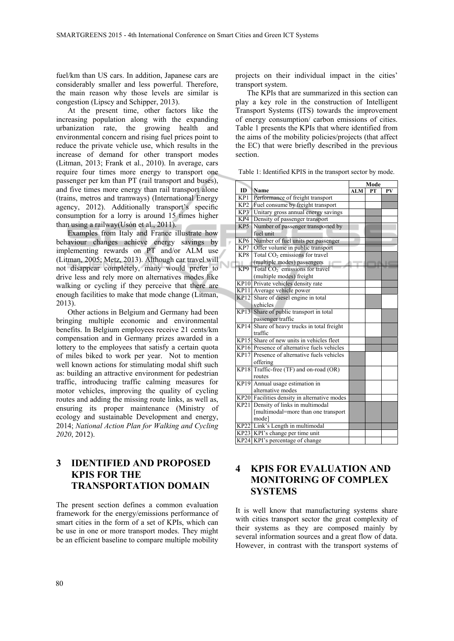fuel/km than US cars. In addition, Japanese cars are considerably smaller and less powerful. Therefore, the main reason why those levels are similar is congestion (Lipscy and Schipper, 2013).

At the present time, other factors like the increasing population along with the expanding urbanization rate, the growing health and environmental concern and rising fuel prices point to reduce the private vehicle use, which results in the increase of demand for other transport modes (Litman, 2013; Frank et al., 2010). In average, cars require four times more energy to transport one passenger per km than PT (rail transport and buses), and five times more energy than rail transport alone (trains, metros and tramways) (International Energy agency, 2012). Additionally transport's specific consumption for a lorry is around 15 times higher than using a railway(Usón et al., 2011).

Examples from Italy and France illustrate how behaviour changes achieve energy savings by implementing rewards on PT and/or ALM use (Litman, 2005; Metz, 2013). Although car travel will not disappear completely, many would prefer to drive less and rely more on alternatives modes like walking or cycling if they perceive that there are enough facilities to make that mode change (Litman, 2013).

Other actions in Belgium and Germany had been bringing multiple economic and environmental benefits. In Belgium employees receive 21 cents/km compensation and in Germany prizes awarded in a lottery to the employees that satisfy a certain quota of miles biked to work per year. Not to mention well known actions for stimulating modal shift such as: building an attractive environment for pedestrian traffic, introducing traffic calming measures for motor vehicles, improving the quality of cycling routes and adding the missing route links, as well as, ensuring its proper maintenance (Ministry of ecology and sustainable Development and energy, 2014; *National Action Plan for Walking and Cycling 2020*, 2012).

## **3 IDENTIFIED AND PROPOSED KPIS FOR THE TRANSPORTATION DOMAIN**

The present section defines a common evaluation framework for the energy/emissions performance of smart cities in the form of a set of KPIs, which can be use in one or more transport modes. They might be an efficient baseline to compare multiple mobility

projects on their individual impact in the cities' transport system.

The KPIs that are summarized in this section can play a key role in the construction of Intelligent Transport Systems (ITS) towards the improvement of energy consumption/ carbon emissions of cities. Table 1 presents the KPIs that where identified from the aims of the mobility policies/projects (that affect the EC) that were briefly described in the previous section.

Table 1: Identified KPIS in the transport sector by mode.

|                 |                                              | Mode       |    |    |
|-----------------|----------------------------------------------|------------|----|----|
| ID              | Name                                         | <b>ALM</b> | PT | PV |
| KP1             | Performance of freight transport             |            |    |    |
| KP <sub>2</sub> | Fuel consume by freight transport            |            |    |    |
| KP3             | Unitary gross annual energy savings          |            |    |    |
| KP4             | Density of passenger transport               |            |    |    |
| KP5             | Number of passenger transported by           |            |    |    |
|                 | fuel unit                                    |            |    |    |
| KP <sub>6</sub> | Number of fuel units per passenger           |            |    |    |
| KP7             | Offer volume in public transport             |            |    |    |
| KP8             | Total CO <sub>2</sub> emissions for travel   |            |    |    |
|                 | (multiple modes) passengers                  |            |    |    |
| KP <sub>9</sub> | Total CO <sub>2</sub> emissions for travel   |            |    |    |
|                 | (multiple modes) freight                     |            |    |    |
|                 | KP10 Private vehicles density rate           |            |    |    |
|                 | KP11 Average vehicle power                   |            |    |    |
|                 | KP12 Share of diesel engine in total         |            |    |    |
|                 | vehicles                                     |            |    |    |
|                 | KP13 Share of public transport in total      |            |    |    |
|                 | passenger traffic                            |            |    |    |
|                 | KP14 Share of heavy trucks in total freight  |            |    |    |
|                 | traffic                                      |            |    |    |
|                 | KP15 Share of new units in vehicles fleet    |            |    |    |
|                 | KP16 Presence of alternative fuels vehicles  |            |    |    |
|                 | KP17 Presence of alternative fuels vehicles  |            |    |    |
|                 | offering                                     |            |    |    |
| <b>KP18</b>     | Traffic-free (TF) and on-road (OR)           |            |    |    |
|                 | routes                                       |            |    |    |
|                 | KP19 Annual usage estimation in              |            |    |    |
|                 | alternative modes                            |            |    |    |
|                 | KP20 Facilities density in alternative modes |            |    |    |
|                 | KP21 Density of links in multimodal          |            |    |    |
|                 | [multimodal=more than one transport]         |            |    |    |
|                 | model                                        |            |    |    |
|                 | KP22 Link's Length in multimodal             |            |    |    |
|                 | KP23 KPI's change per time unit              |            |    |    |
|                 | KP24 KPI's percentage of change              |            |    |    |

#### **4 KPIS FOR EVALUATION AND MONITORING OF COMPLEX SYSTEMS**

It is well know that manufacturing systems share with cities transport sector the great complexity of their systems as they are composed mainly by several information sources and a great flow of data. However, in contrast with the transport systems of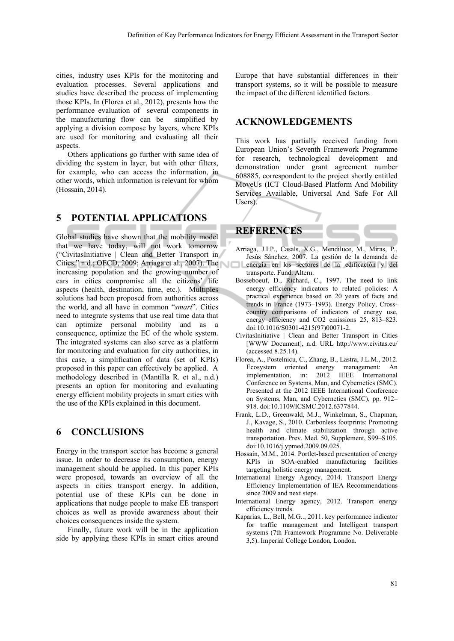cities, industry uses KPIs for the monitoring and evaluation processes. Several applications and studies have described the process of implementing those KPIs. In (Florea et al., 2012), presents how the performance evaluation of several components in the manufacturing flow can be simplified by applying a division compose by layers, where KPIs are used for monitoring and evaluating all their aspects.

Others applications go further with same idea of dividing the system in layer, but with other filters, for example, who can access the information, in other words, which information is relevant for whom (Hossain, 2014).

#### **5 POTENTIAL APPLICATIONS**

Global studies have shown that the mobility model that we have today, will not work tomorrow ("CivitasInitiative | Clean and Better Transport in Cities," n.d.; OECD, 2009; Arriaga et al., 2007). The increasing population and the growing number of cars in cities compromise all the citizens' life aspects (health, destination, time, etc.). Multiples solutions had been proposed from authorities across the world, and all have in common "*smart*". Cities need to integrate systems that use real time data that can optimize personal mobility and as a consequence, optimize the EC of the whole system. The integrated systems can also serve as a platform for monitoring and evaluation for city authorities, in this case, a simplification of data (set of KPIs) proposed in this paper can effectively be applied. A methodology described in (Mantilla R. et al., n.d.) presents an option for monitoring and evaluating energy efficient mobility projects in smart cities with the use of the KPIs explained in this document.

#### **6 CONCLUSIONS**

Energy in the transport sector has become a general issue. In order to decrease its consumption, energy management should be applied. In this paper KPIs were proposed, towards an overview of all the aspects in cities transport energy. In addition, potential use of these KPIs can be done in applications that nudge people to make EE transport choices as well as provide awareness about their choices consequences inside the system.

Finally, future work will be in the application side by applying these KPIs in smart cities around

Europe that have substantial differences in their transport systems, so it will be possible to measure the impact of the different identified factors.

#### **ACKNOWLEDGEMENTS**

This work has partially received funding from European Union's Seventh Framework Programme for research, technological development and demonstration under grant agreement number 608885, correspondent to the project shortly entitled MoveUs (ICT Cloud-Based Platform And Mobility Services Available, Universal And Safe For All Users).



- Arriaga, J.I.P., Casals, X.G., Mendiluce, M., Miras, P., Jesús Sánchez, 2007. La gestión de la demanda de energía en los sectores de la edificación y del transporte. Fund. Altern.
- Bosseboeuf, D., Richard, C., 1997. The need to link energy efficiency indicators to related policies: A practical experience based on 20 years of facts and trends in France (1973–1993). Energy Policy, Crosscountry comparisons of indicators of energy use, energy efficiency and CO2 emissions 25, 813–823. doi:10.1016/S0301-4215(97)00071-2.
- CivitasInitiative | Clean and Better Transport in Cities [WWW Document], n.d. URL http://www.civitas.eu/ (accessed 8.25.14).
- Florea, A., Postelnicu, C., Zhang, B., Lastra, J.L.M., 2012. Ecosystem oriented energy management: An implementation, in: 2012 IEEE International Conference on Systems, Man, and Cybernetics (SMC). Presented at the 2012 IEEE International Conference on Systems, Man, and Cybernetics (SMC), pp. 912– 918. doi:10.1109/ICSMC.2012.6377844.
- Frank, L.D., Greenwald, M.J., Winkelman, S., Chapman, J., Kavage, S., 2010. Carbonless footprints: Promoting health and climate stabilization through active transportation. Prev. Med. 50, Supplement, S99–S105. doi:10.1016/j.ypmed.2009.09.025.
- Hossain, M.M., 2014. Portlet-based presentation of energy KPIs in SOA-enabled manufacturing facilities targeting holistic energy management.
- International Energy Agency, 2014. Transport Energy Efficiency Implementation of IEA Recommendations since 2009 and next steps.
- International Energy agency, 2012. Transport energy efficiency trends.
- Kaparias, L., Bell, M.G.., 2011. key performance indicator for traffic management and Intelligent transport systems (7th Framework Programme No. Deliverable 3,5). Imperial College London, London.